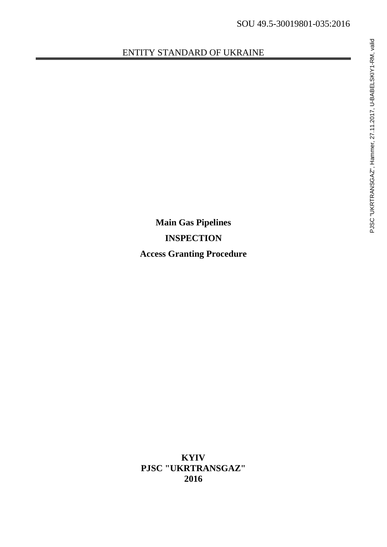### ENTITY STANDARD OF UKRAINE

**Main Gas Pipelines INSPECTION Access Granting Procedure**

**KYIV PJSC "UKRTRANSGAZ" 2016**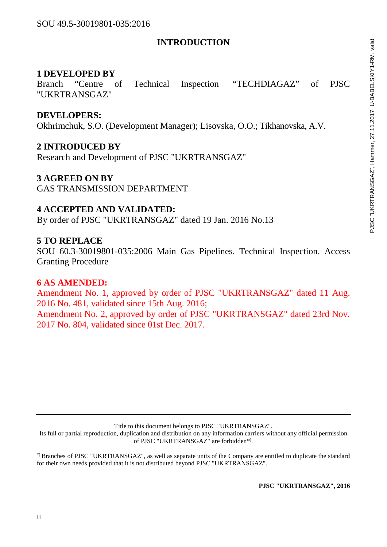### **INTRODUCTION**

### **1 DEVELOPED BY**

Branch "Centre of Technical Inspection "TECHDIAGAZ" of PJSC "UKRTRANSGAZ"

### **DEVELOPERS:**

Okhrimchuk, S.O. (Development Manager); Lisovska, O.O.; Tikhanovska, A.V.

### **2 INTRODUCED BY**

Research and Development of PJSC "UKRTRANSGAZ"

### **3 AGREED ON BY**

GAS TRANSMISSION DEPARTMENT

### **4 ACCEPTED AND VALIDATED:**

By order of PJSC "UKRTRANSGAZ" dated 19 Jan. 2016 No.13

### **5 TO REPLACE**

SOU 60.3-30019801-035:2006 Main Gas Pipelines. Technical Inspection. Access Granting Procedure

### **6 AS AMENDED:**

Amendment No. 1, approved by order of PJSC "UKRTRANSGAZ" dated 11 Aug. 2016 No. 481, validated since 15th Aug. 2016; Amendment No. 2, approved by order of PJSC "UKRTRANSGAZ" dated 23rd Nov. 2017 No. 804, validated since 01st Dec. 2017.

Title to this document belongs to PJSC "UKRTRANSGAZ".

Its full or partial reproduction, duplication and distribution on any information carriers without any official permission of PJSC "UKRTRANSGAZ" are forbidden\*).

\*) Branches of PJSC "UKRTRANSGAZ", as well as separate units of the Company are entitled to duplicate the standard for their own needs provided that it is not distributed beyond PJSC "UKRTRANSGAZ".

**PJSC "UKRTRANSGAZ", 2016**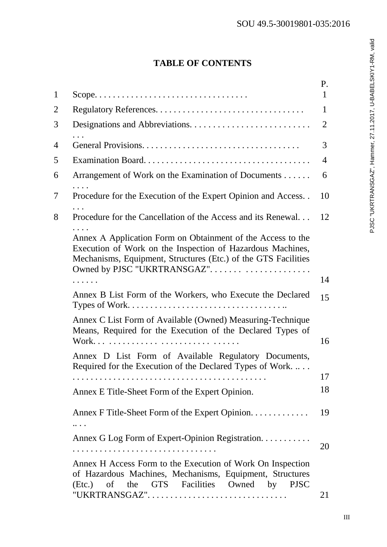|   | <b>TABLE OF CONTENTS</b>                                                                                                                                                                                                   |              |
|---|----------------------------------------------------------------------------------------------------------------------------------------------------------------------------------------------------------------------------|--------------|
|   |                                                                                                                                                                                                                            | P.           |
| 1 |                                                                                                                                                                                                                            | $\mathbf{1}$ |
| 2 |                                                                                                                                                                                                                            | 1            |
| 3 |                                                                                                                                                                                                                            | 2            |
| 4 |                                                                                                                                                                                                                            | 3            |
| 5 |                                                                                                                                                                                                                            | 4            |
| 6 | Arrangement of Work on the Examination of Documents                                                                                                                                                                        | 6            |
| 7 | Procedure for the Execution of the Expert Opinion and Access                                                                                                                                                               | 10           |
| 8 | Procedure for the Cancellation of the Access and its Renewal                                                                                                                                                               | 12           |
|   | Annex A Application Form on Obtainment of the Access to the<br>Execution of Work on the Inspection of Hazardous Machines,<br>Mechanisms, Equipment, Structures (Etc.) of the GTS Facilities<br>Owned by PJSC "UKRTRANSGAZ" | 14           |
|   | Annex B List Form of the Workers, who Execute the Declared                                                                                                                                                                 | 15           |
|   | Annex C List Form of Available (Owned) Measuring-Technique<br>Means, Required for the Execution of the Declared Types of<br>Annex D List Form of Available Regulatory Documents,                                           | 16           |
|   | Required for the Execution of the Declared Types of Work                                                                                                                                                                   |              |
|   |                                                                                                                                                                                                                            | 17<br>18     |
|   | Annex E Title-Sheet Form of the Expert Opinion.                                                                                                                                                                            |              |
|   | Annex F Title-Sheet Form of the Expert Opinion.<br>                                                                                                                                                                        | 19           |
|   | Annex G Log Form of Expert-Opinion Registration.                                                                                                                                                                           |              |
|   |                                                                                                                                                                                                                            | 20           |
|   | Annex H Access Form to the Execution of Work On Inspection<br>of Hazardous Machines, Mechanisms, Equipment, Structures<br>the GTS Facilities Owned by<br><b>PJSC</b><br>$(Etc.)$ of                                        |              |
|   |                                                                                                                                                                                                                            | 21           |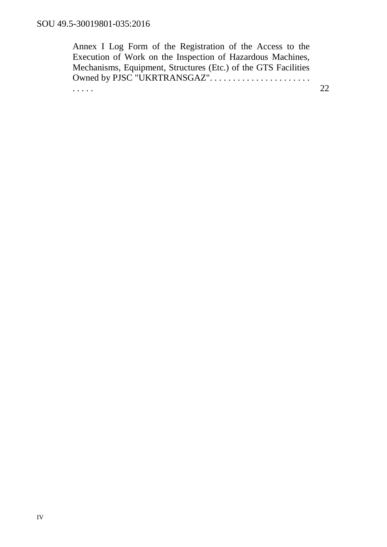Annex I Log Form of the Registration of the Access to the Execution of Work on the Inspection of Hazardous Machines, Mechanisms, Equipment, Structures (Etc.) of the GTS Facilities Owned by PJSC "UKRTRANSGAZ"...................... . . . . . 22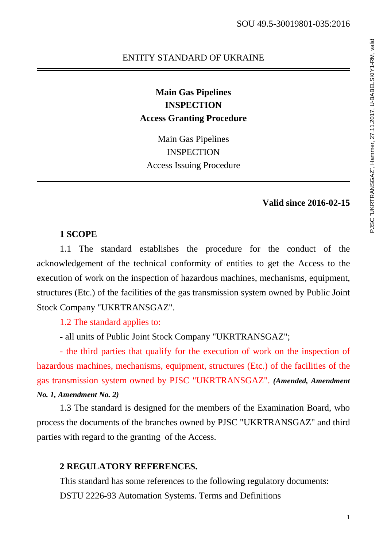# ENTITY STANDARD OF UKRAINE<br>
Main Gas Pipelines<br>
INSPECTION<br>
Access Granting Procedure<br>
Main Gas Pipelines<br>
INSPECTION<br>
Access Issuing Procedure<br>
Valid since 2016-02-15<br>
Valid since 2016-02-15 **Main Gas Pipelines INSPECTION Access Granting Procedure**

Main Gas Pipelines **INSPECTION** Access Issuing Procedure

### **Valid since 2016-02-15**

### **1 SCOPE**

1.1 The standard establishes the procedure for the conduct of the acknowledgement of the technical conformity of entities to get the Access to the execution of work on the inspection of hazardous machines, mechanisms, equipment, structures (Etc.) of the facilities of the gas transmission system owned by Public Joint Stock Company "UKRTRANSGAZ".

1.2 The standard applies to:

- all units of Public Joint Stock Company "UKRTRANSGAZ";

- the third parties that qualify for the execution of work on the inspection of hazardous machines, mechanisms, equipment, structures (Etc.) of the facilities of the gas transmission system owned by PJSC "UKRTRANSGAZ". *(Amended, Amendment No. 1, Amendment No. 2)*

1.3 The standard is designed for the members of the Examination Board, who process the documents of the branches owned by PJSC "UKRTRANSGAZ" and third parties with regard to the granting of the Access.

### **2 REGULATORY REFERENCES.**

This standard has some references to the following regulatory documents: DSTU 2226-93 Automation Systems. Terms and Definitions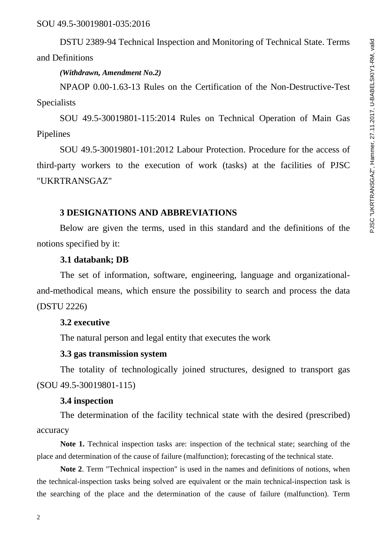DSTU 2389-94 Technical Inspection and Monitoring of Technical State. Terms and Definitions

### *(Withdrawn, Amendment No.2)*

NPAOP 0.00-1.63-13 Rules on the Certification of the Non-Destructive-Test Specialists

SOU 49.5-30019801-115:2014 Rules on Technical Operation of Main Gas Pipelines

SOU 49.5-30019801-101:2012 Labour Protection. Procedure for the access of third-party workers to the execution of work (tasks) at the facilities of PJSC "UKRTRANSGAZ"

### **3 DESIGNATIONS AND ABBREVIATIONS**

Below are given the terms, used in this standard and the definitions of the notions specified by it:

### **3.1 databank; DB**

The set of information, software, engineering, language and organizationaland-methodical means, which ensure the possibility to search and process the data (DSTU 2226)

### **3.2 executive**

The natural person and legal entity that executes the work

### **3.3 gas transmission system**

The totality of technologically joined structures, designed to transport gas (SOU 49.5-30019801-115)

### **3.4 inspection**

The determination of the facility technical state with the desired (prescribed) accuracy

Note 1. Technical inspection tasks are: inspection of the technical state; searching of the place and determination of the cause of failure (malfunction); forecasting of the technical state.

**Note 2**. Term "Technical inspection" is used in the names and definitions of notions, when the technical-inspection tasks being solved are equivalent or the main technical-inspection task is the searching of the place and the determination of the cause of failure (malfunction). Term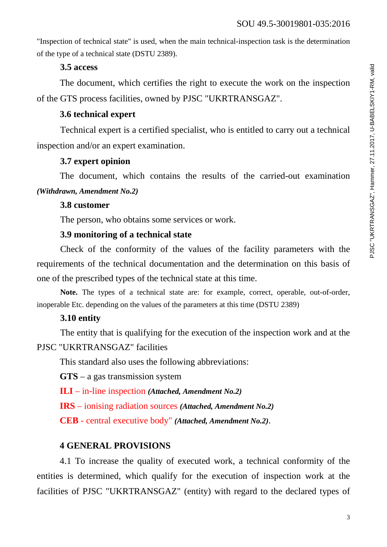"Inspection of technical state" is used, when the main technical-inspection task is the determination of the type of a technical state (DSTU 2389).

### **3.5 access**

The document, which certifies the right to execute the work on the inspection of the GTS process facilities, owned by PJSC "UKRTRANSGAZ".

### **3.6 technical expert**

Technical expert is a certified specialist, who is entitled to carry out a technical inspection and/or an expert examination.

### **3.7 expert opinion**

The document, which contains the results of the carried-out examination *(Withdrawn, Amendment No.2)*

### **3.8 customer**

The person, who obtains some services or work.

### **3.9 monitoring of a technical state**

Check of the conformity of the values of the facility parameters with the requirements of the technical documentation and the determination on this basis of one of the prescribed types of the technical state at this time.

**Note.** The types of a technical state are: for example, correct, operable, out-of-order, inoperable Etc. depending on the values of the parameters at this time (DSTU 2389)

### **3.10 entity**

The entity that is qualifying for the execution of the inspection work and at the PJSC "UKRTRANSGAZ" facilities

This standard also uses the following abbreviations:

**GTS** – a gas transmission system

**ILI** – in-line inspection *(Attached, Amendment No.2)*

**IRS** – ionising radiation sources *(Attached, Amendment No.2)*

**CEB** - central executive body" *(Attached, Amendment No.2)*.

### **4 GENERAL PROVISIONS**

4.1 To increase the quality of executed work, a technical conformity of the entities is determined, which qualify for the execution of inspection work at the facilities of PJSC "UKRTRANSGAZ" (entity) with regard to the declared types of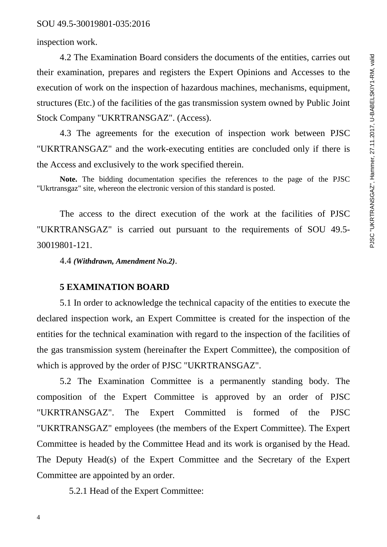inspection work.

4.2 The Examination Board considers the documents of the entities, carries out their examination, prepares and registers the Expert Opinions and Accesses to the execution of work on the inspection of hazardous machines, mechanisms, equipment, structures (Etc.) of the facilities of the gas transmission system owned by Public Joint Stock Company "UKRTRANSGAZ". (Access).

4.3 The agreements for the execution of inspection work between PJSC "UKRTRANSGAZ" and the work-executing entities are concluded only if there is the Access and exclusively to the work specified therein.

**Note.** The bidding documentation specifies the references to the page of the PJSC "Ukrtransgaz" site, whereon the electronic version of this standard is posted.

The access to the direct execution of the work at the facilities of PJSC "UKRTRANSGAZ" is carried out pursuant to the requirements of SOU 49.5- 30019801-121.

4.4 *(Withdrawn, Amendment No.2)*.

### **5 EXAMINATION BOARD**

5.1 In order to acknowledge the technical capacity of the entities to execute the declared inspection work, an Expert Committee is created for the inspection of the entities for the technical examination with regard to the inspection of the facilities of the gas transmission system (hereinafter the Expert Committee), the composition of which is approved by the order of PJSC "UKRTRANSGAZ".

5.2 The Examination Committee is a permanently standing body. The composition of the Expert Committee is approved by an order of PJSC "UKRTRANSGAZ". The Expert Committed is formed of the PJSC "UKRTRANSGAZ" employees (the members of the Expert Committee). The Expert Committee is headed by the Committee Head and its work is organised by the Head. The Deputy Head(s) of the Expert Committee and the Secretary of the Expert Committee are appointed by an order.

5.2.1 Head of the Expert Committee: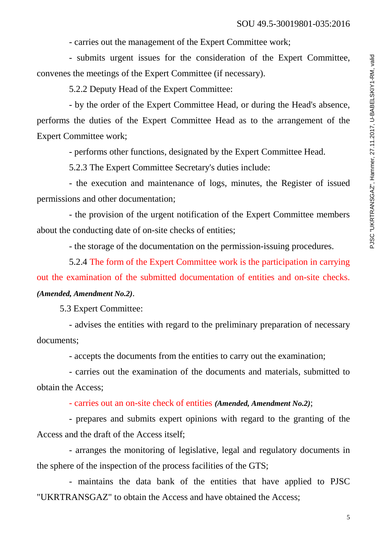- carries out the management of the Expert Committee work;

- submits urgent issues for the consideration of the Expert Committee, convenes the meetings of the Expert Committee (if necessary).

5.2.2 Deputy Head of the Expert Committee:

- by the order of the Expert Committee Head, or during the Head's absence, performs the duties of the Expert Committee Head as to the arrangement of the Expert Committee work;

- performs other functions, designated by the Expert Committee Head.

5.2.3 The Expert Committee Secretary's duties include:

- the execution and maintenance of logs, minutes, the Register of issued permissions and other documentation;

- the provision of the urgent notification of the Expert Committee members about the conducting date of on-site checks of entities;

- the storage of the documentation on the permission-issuing procedures.

5.2.4 The form of the Expert Committee work is the participation in carrying out the examination of the submitted documentation of entities and on-site checks. *(Amended, Amendment No.2)*.

5.3 Expert Committee:

- advises the entities with regard to the preliminary preparation of necessary documents;

- accepts the documents from the entities to carry out the examination;

- carries out the examination of the documents and materials, submitted to obtain the Access;

- carries out an on-site check of entities *(Amended, Amendment No.2)*;

- prepares and submits expert opinions with regard to the granting of the Access and the draft of the Access itself;

- arranges the monitoring of legislative, legal and regulatory documents in the sphere of the inspection of the process facilities of the GTS;

- maintains the data bank of the entities that have applied to PJSC "UKRTRANSGAZ" to obtain the Access and have obtained the Access;

5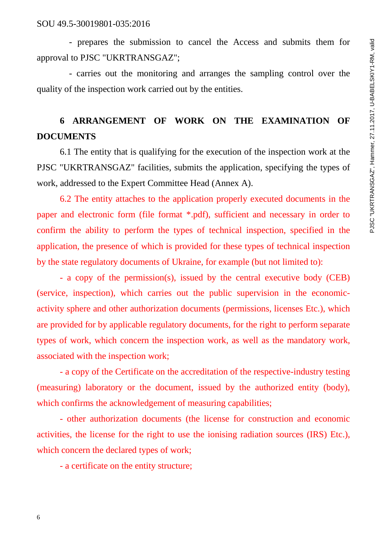- prepares the submission to cancel the Access and submits them for approval to PJSC "UKRTRANSGAZ";

- carries out the monitoring and arranges the sampling control over the quality of the inspection work carried out by the entities.

### **6 ARRANGEMENT OF WORK ON THE EXAMINATION OF DOCUMENTS**

6.1 The entity that is qualifying for the execution of the inspection work at the PJSC "UKRTRANSGAZ" facilities, submits the application, specifying the types of work, addressed to the Expert Committee Head (Annex A).

6.2 The entity attaches to the application properly executed documents in the paper and electronic form (file format \*.pdf), sufficient and necessary in order to confirm the ability to perform the types of technical inspection, specified in the application, the presence of which is provided for these types of technical inspection by the state regulatory documents of Ukraine, for example (but not limited to):

- a copy of the permission(s), issued by the central executive body (CEB) (service, inspection), which carries out the public supervision in the economicactivity sphere and other authorization documents (permissions, licenses Etc.), which are provided for by applicable regulatory documents, for the right to perform separate types of work, which concern the inspection work, as well as the mandatory work, associated with the inspection work;

- a copy of the Certificate on the accreditation of the respective-industry testing (measuring) laboratory or the document, issued by the authorized entity (body), which confirms the acknowledgement of measuring capabilities;

- other authorization documents (the license for construction and economic activities, the license for the right to use the ionising radiation sources (IRS) Etc.), which concern the declared types of work;

- a certificate on the entity structure;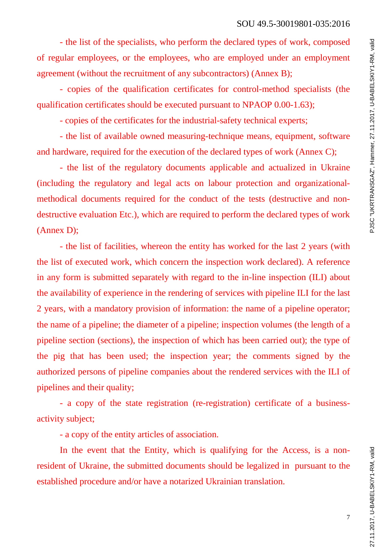- the list of the specialists, who perform the declared types of work, composed of regular employees, or the employees, who are employed under an employment agreement (without the recruitment of any subcontractors) (Annex B);

- copies of the qualification certificates for control-method specialists (the qualification certificates should be executed pursuant to NPAOP 0.00-1.63);

- copies of the certificates for the industrial-safety technical experts;

- the list of available owned measuring-technique means, equipment, software and hardware, required for the execution of the declared types of work (Annex C);

- the list of the regulatory documents applicable and actualized in Ukraine (including the regulatory and legal acts on labour protection and organizationalmethodical documents required for the conduct of the tests (destructive and nondestructive evaluation Etc.), which are required to perform the declared types of work (Annex D);

- the list of facilities, whereon the entity has worked for the last 2 years (with the list of executed work, which concern the inspection work declared). A reference in any form is submitted separately with regard to the in-line inspection (ILI) about the availability of experience in the rendering of services with pipeline ILI for the last 2 years, with a mandatory provision of information: the name of a pipeline operator; the name of a pipeline; the diameter of a pipeline; inspection volumes (the length of a pipeline section (sections), the inspection of which has been carried out); the type of the pig that has been used; the inspection year; the comments signed by the authorized persons of pipeline companies about the rendered services with the ILI of pipelines and their quality;

- a copy of the state registration (re-registration) certificate of a businessactivity subject;

- a copy of the entity articles of association.

In the event that the Entity, which is qualifying for the Access, is a nonresident of Ukraine, the submitted documents should be legalized in pursuant to the established procedure and/or have a notarized Ukrainian translation.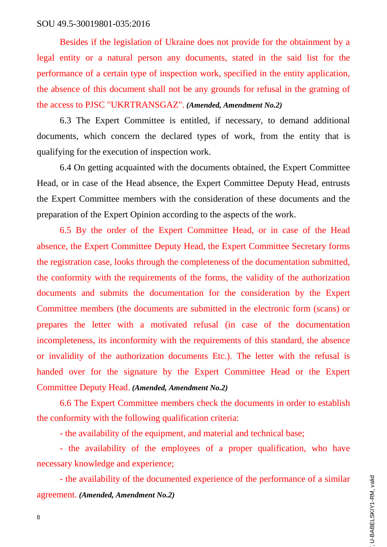Besides if the legislation of Ukraine does not provide for the obtainment by a legal entity or a natural person any documents, stated in the said list for the performance of a certain type of inspection work, specified in the entity application, the absence of this document shall not be any grounds for refusal in the gratning of the access to PJSC "UKRTRANSGAZ". *(Amended, Amendment No.2)*

6.3 The Expert Committee is entitled, if necessary, to demand additional documents, which concern the declared types of work, from the entity that is qualifying for the execution of inspection work.

6.4 On getting acquainted with the documents obtained, the Expert Committee Head, or in case of the Head absence, the Expert Committee Deputy Head, entrusts the Expert Committee members with the consideration of these documents and the preparation of the Expert Opinion according to the aspects of the work.

6.5 By the order of the Expert Committee Head, or in case of the Head absence, the Expert Committee Deputy Head, the Expert Committee Secretary forms the registration case, looks through the completeness of the documentation submitted, the conformity with the requirements of the forms, the validity of the authorization documents and submits the documentation for the consideration by the Expert Committee members (the documents are submitted in the electronic form (scans) or prepares the letter with a motivated refusal (in case of the documentation incompleteness, its inconformity with the requirements of this standard, the absence or invalidity of the authorization documents Etc.). The letter with the refusal is handed over for the signature by the Expert Committee Head or the Expert Committee Deputy Head. *(Amended, Amendment No.2)*

6.6 The Expert Committee members check the documents in order to establish the conformity with the following qualification criteria:

- the availability of the equipment, and material and technical base;

- the availability of the employees of a proper qualification, who have necessary knowledge and experience;

- the availability of the documented experience of the performance of a similar agreement. *(Amended, Amendment No.2)*

8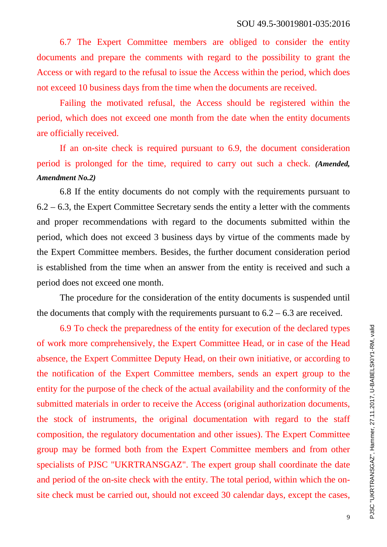6.7 The Expert Committee members are obliged to consider the entity documents and prepare the comments with regard to the possibility to grant the Access or with regard to the refusal to issue the Access within the period, which does not exceed 10 business days from the time when the documents are received.

Failing the motivated refusal, the Access should be registered within the period, which does not exceed one month from the date when the entity documents are officially received.

If an on-site check is required pursuant to 6.9, the document consideration period is prolonged for the time, required to carry out such a check. *(Amended, Amendment No.2)*

6.8 If the entity documents do not comply with the requirements pursuant to 6.2 – 6.3, the Expert Committee Secretary sends the entity a letter with the comments and proper recommendations with regard to the documents submitted within the period, which does not exceed 3 business days by virtue of the comments made by the Expert Committee members. Besides, the further document consideration period is established from the time when an answer from the entity is received and such a period does not exceed one month.

The procedure for the consideration of the entity documents is suspended until the documents that comply with the requirements pursuant to  $6.2 - 6.3$  are received.

6.9 To check the preparedness of the entity for execution of the declared types of work more comprehensively, the Expert Committee Head, or in case of the Head absence, the Expert Committee Deputy Head, on their own initiative, or according to the notification of the Expert Committee members, sends an expert group to the entity for the purpose of the check of the actual availability and the conformity of the submitted materials in order to receive the Access (original authorization documents, the stock of instruments, the original documentation with regard to the staff composition, the regulatory documentation and other issues). The Expert Committee group may be formed both from the Expert Committee members and from other specialists of PJSC "UKRTRANSGAZ". The expert group shall coordinate the date and period of the on-site check with the entity. The total period, within which the onsite check must be carried out, should not exceed 30 calendar days, except the cases,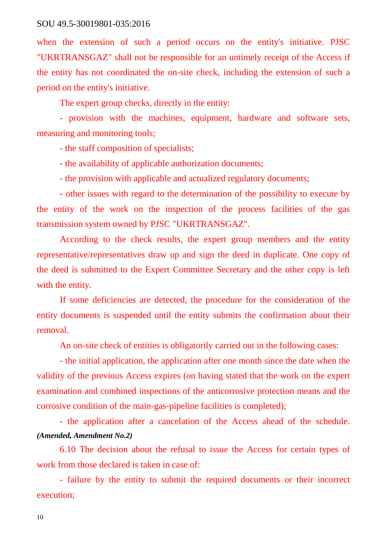when the extension of such a period occurs on the entity's initiative. PJSC "UKRTRANSGAZ" shall not be responsible for an untimely receipt of the Access if the entity has not coordinated the on-site check, including the extension of such a period on the entity's initiative.

The expert group checks, directly in the entity:

- provision with the machines, equipment, hardware and software sets, measuring and monitoring tools;

- the staff composition of specialists;

- the availability of applicable authorization documents;

- the provision with applicable and actualized regulatory documents;

- other issues with regard to the determination of the possibility to execute by the entity of the work on the inspection of the process facilities of the gas transmission system owned by PJSC "UKRTRANSGAZ".

According to the check results, the expert group members and the entity representative/representatives draw up and sign the deed in duplicate. One copy of the deed is submitted to the Expert Committee Secretary and the other copy is left with the entity.

If some deficiencies are detected, the procedure for the consideration of the entity documents is suspended until the entity submits the confirmation about their removal.

An on-site check of entities is obligatorily carried out in the following cases:

- the initial application, the application after one month since the date when the validity of the previous Access expires (on having stated that the work on the expert examination and combined inspections of the anticorrosive protection means and the corrosive condition of the main-gas-pipeline facilities is completed);

- the application after a cancelation of the Access ahead of the schedule. *(Amended, Amendment No.2)*

6.10 The decision about the refusal to issue the Access for certain types of work from those declared is taken in case of:

- failure by the entity to submit the required documents or their incorrect execution;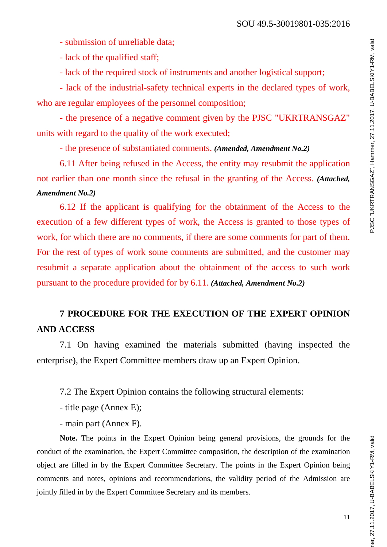- submission of unreliable data;

- lack of the qualified staff;

- lack of the required stock of instruments and another logistical support;

- lack of the industrial-safety technical experts in the declared types of work, who are regular employees of the personnel composition;

- the presence of a negative comment given by the PJSC "UKRTRANSGAZ" units with regard to the quality of the work executed;

- the presence of substantiated comments. *(Amended, Amendment No.2)*

6.11 After being refused in the Access, the entity may resubmit the application not earlier than one month since the refusal in the granting of the Access. *(Attached, Amendment No.2)*

6.12 If the applicant is qualifying for the obtainment of the Access to the execution of a few different types of work, the Access is granted to those types of work, for which there are no comments, if there are some comments for part of them. For the rest of types of work some comments are submitted, and the customer may resubmit a separate application about the obtainment of the access to such work pursuant to the procedure provided for by 6.11. *(Attached, Amendment No.2)*

### **7 PROCEDURE FOR THE EXECUTION OF THE EXPERT OPINION AND ACCESS**

7.1 On having examined the materials submitted (having inspected the enterprise), the Expert Committee members draw up an Expert Opinion.

7.2 The Expert Opinion contains the following structural elements:

- title page (Annex E);

- main part (Annex F).

**Note.** The points in the Expert Opinion being general provisions, the grounds for the conduct of the examination, the Expert Committee composition, the description of the examination object are filled in by the Expert Committee Secretary. The points in the Expert Opinion being comments and notes, opinions and recommendations, the validity period of the Admission are jointly filled in by the Expert Committee Secretary and its members.

11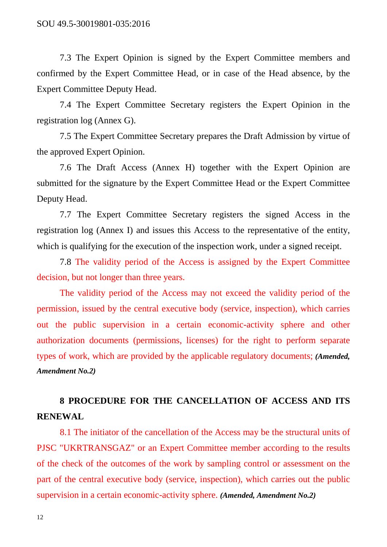7.3 The Expert Opinion is signed by the Expert Committee members and confirmed by the Expert Committee Head, or in case of the Head absence, by the Expert Committee Deputy Head.

7.4 The Expert Committee Secretary registers the Expert Opinion in the registration log (Annex G).

7.5 The Expert Committee Secretary prepares the Draft Admission by virtue of the approved Expert Opinion.

7.6 The Draft Access (Annex H) together with the Expert Opinion are submitted for the signature by the Expert Committee Head or the Expert Committee Deputy Head.

7.7 The Expert Committee Secretary registers the signed Access in the registration log (Annex I) and issues this Access to the representative of the entity, which is qualifying for the execution of the inspection work, under a signed receipt.

7.8 The validity period of the Access is assigned by the Expert Committee decision, but not longer than three years.

The validity period of the Access may not exceed the validity period of the permission, issued by the central executive body (service, inspection), which carries out the public supervision in a certain economic-activity sphere and other authorization documents (permissions, licenses) for the right to perform separate types of work, which are provided by the applicable regulatory documents; *(Amended, Amendment No.2)*

### **8 PROCEDURE FOR THE CANCELLATION OF ACCESS AND ITS RENEWAL**

8.1 The initiator of the cancellation of the Access may be the structural units of PJSC "UKRTRANSGAZ" or an Expert Committee member according to the results of the check of the outcomes of the work by sampling control or assessment on the part of the central executive body (service, inspection), which carries out the public supervision in a certain economic-activity sphere. *(Amended, Amendment No.2)*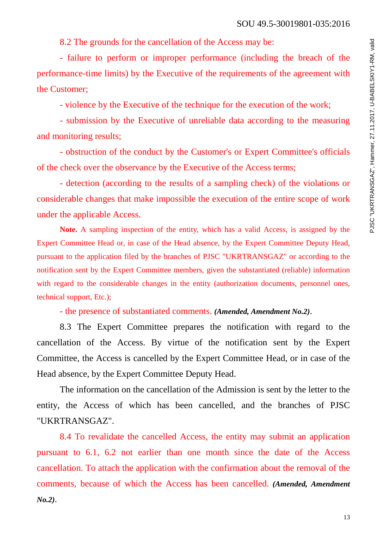8.2 The grounds for the cancellation of the Access may be:

- failure to perform or improper performance (including the breach of the performance-time limits) by the Executive of the requirements of the agreement with the Customer;

- violence by the Executive of the technique for the execution of the work;

- submission by the Executive of unreliable data according to the measuring and monitoring results;

- obstruction of the conduct by the Customer's or Expert Committee's officials of the check over the observance by the Executive of the Access terms;

- detection (according to the results of a sampling check) of the violations or considerable changes that make impossible the execution of the entire scope of work under the applicable Access.

**Note.** A sampling inspection of the entity, which has a valid Access, is assigned by the Expert Committee Head or, in case of the Head absence, by the Expert Committee Deputy Head, pursuant to the application filed by the branches of PJSC "UKRTRANSGAZ" or according to the notification sent by the Expert Committee members, given the substantiated (reliable) information with regard to the considerable changes in the entity (authorization documents, personnel ones, technical support, Etc.);

- the presence of substantiated comments. *(Amended, Amendment No.2)*.

8.3 The Expert Committee prepares the notification with regard to the cancellation of the Access. By virtue of the notification sent by the Expert Committee, the Access is cancelled by the Expert Committee Head, or in case of the Head absence, by the Expert Committee Deputy Head.

The information on the cancellation of the Admission is sent by the letter to the entity, the Access of which has been cancelled, and the branches of PJSC "UKRTRANSGAZ".

8.4 To revalidate the cancelled Access, the entity may submit an application pursuant to 6.1, 6.2 not earlier than one month since the date of the Access cancellation. To attach the application with the confirmation about the removal of the comments, because of which the Access has been cancelled. *(Amended, Amendment No.2)*.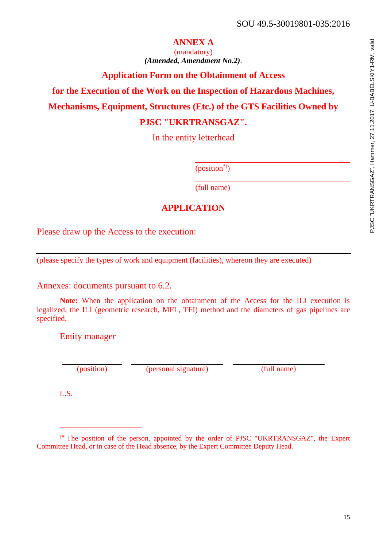### **ANNEX A**

(mandatory) *(Amended, Amendment No.2)*.

### **Application Form on the Obtainment of Access**

**for the Execution of the Work on the Inspection of Hazardous Machines,** 

**Mechanisms, Equipment, Structures (Etc.) of the GTS Facilities Owned by** 

### **PJSC "UKRTRANSGAZ".**

In the entity letterhead

 $(position<sup>*</sup>)$ 

\_\_\_\_\_\_\_\_\_\_\_\_\_\_\_\_\_\_\_\_\_\_\_\_\_\_\_\_\_\_\_\_\_\_ (full name)

### **APPLICATION**

Please draw up the Access to the execution:

(please specify the types of work and equipment (facilities), whereon they are executed)

Annexes: documents pursuant to 6.2.

**Note:** When the application on the obtainment of the Access for the ILI execution is legalized, the ILI (geometric research, MFL, TFI) method and the diameters of gas pipelines are specified.

Entity manager

\_\_\_\_\_\_\_\_\_\_\_\_\_\_\_\_\_\_

(position) (personal signature) (full name)

\_\_\_\_\_\_\_\_\_\_\_\_\_\_\_\_\_\_\_\_\_\_\_\_\_\_\_\_\_\_\_\_\_\_

L.S.

<sup>(</sup> ٭ The position of the person, appointed by the order of PJSC "UKRTRANSGAZ", the Expert Committee Head, or in case of the Head absence, by the Expert Committee Deputy Head.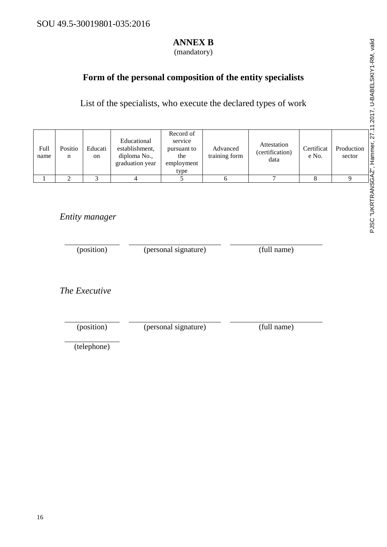### **ANNEX B**

(mandatory)

### **Form of the personal composition of the entity specialists**

List of the specialists, who execute the declared types of work

| Full<br>name | Positio<br>n | Educati<br>on | Educational<br>establishment,<br>diploma No.,<br>graduation year | Record of<br>service<br>pursuant to<br>the<br>employment<br>type | Advanced<br>training form | Attestation<br>(certification)<br>data | Certificat<br>e No. | Production<br>sector |
|--------------|--------------|---------------|------------------------------------------------------------------|------------------------------------------------------------------|---------------------------|----------------------------------------|---------------------|----------------------|
|              |              |               |                                                                  |                                                                  |                           |                                        |                     |                      |

*Entity manager*

(position) (personal signature) (full name)

*The Executive*

(position) (personal signature) (full name) (telephone)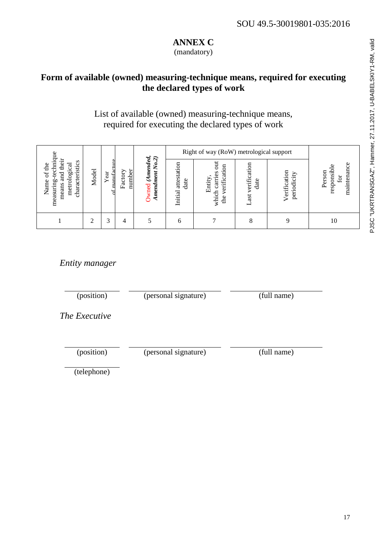# PJSC "UKRTRANSGAZ", Hammer, 27.11.2017, U-BABELSKIY1-RM, valid PJSC "UKRTRANSGAZ", Hammer, 27.11.2017, U-BABELSKIY1-RM, valid

### **ANNEX C**

(mandatory)

### **Form of available (owned) measuring-technique means, required for executing the declared types of work**

### List of available (owned) measuring-technique means, required for executing the declared types of work

| gn                                                                                                       |       |                | $\widehat{\mathbf{c}}$ |                                              |                                | Right of way (RoW) metrological support                  |                                  |                             |                                            |
|----------------------------------------------------------------------------------------------------------|-------|----------------|------------------------|----------------------------------------------|--------------------------------|----------------------------------------------------------|----------------------------------|-----------------------------|--------------------------------------------|
| techniq<br>their<br>characteristics<br>of the<br>ड<br>.පු<br>ម្ព<br>metrol<br>Name<br>measuring<br>means | Model | Year<br>manufa | number<br>Factory      | (Amended,<br>$\infty$<br>ent<br>mend<br>wned | attestation<br>date<br>Initial | tto<br>verification<br>carries<br>Entity<br>which<br>the | verification<br>date<br>ast<br>ᆸ | Verification<br>periodicity | maintenance<br>responsibl<br>Person<br>for |
|                                                                                                          |       | 3              | 4                      |                                              | n                              |                                                          | 8                                |                             | 10                                         |

### *Entity manager*

(position) (personal signature) (full name)

*The Executive*

(position) (personal signature) (full name)

(telephone)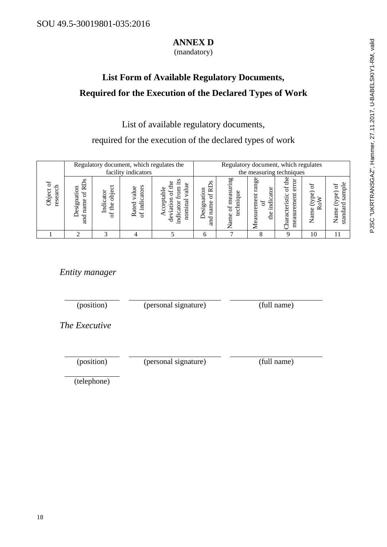### **ANNEX D**

(mandatory)

### **List Form of Available Regulatory Documents, Required for the Execution of the Declared Types of Work**

List of available regulatory documents,

required for the execution of the declared types of work

|                                             |                                                  | Regulatory document, which regulates the<br>facility indicators |                                              |                                   |                                         |                                           | Regulatory document, which regulates<br>the measuring techniques |                                                               |                       |                                        |  |
|---------------------------------------------|--------------------------------------------------|-----------------------------------------------------------------|----------------------------------------------|-----------------------------------|-----------------------------------------|-------------------------------------------|------------------------------------------------------------------|---------------------------------------------------------------|-----------------------|----------------------------------------|--|
| đ<br><b>Diject</b><br>◡<br>ಡ<br>Φ<br>ā<br>Ľ | ≃<br>ation<br>ЪÓ<br>esign<br>name<br>Ã<br>ರ<br>g | pipe<br>ator<br>₩<br>Φ<br>Š<br>₽                                | ators<br>alue<br>ಲ<br>istä<br>ated<br>5<br>≃ | ⊒<br>ದ<br>БĪ<br>m<br>g<br>€<br>ಕಿ | ∼<br>ទ<br>Έä<br>$\sin$<br>ame<br>≏<br>ರ | mg<br>Ξ<br>eası<br>5ŕ<br>Φ<br>$\sqrt{am}$ | 60<br>ran<br>dicator<br>Ħ<br>easureme<br>흡                       | S<br>0<br>≒<br>eristic<br>suremen<br><b>naract</b><br>ದ<br>me | ි<br>≃<br>g<br>ನ<br>Z | ā<br>g<br>ನ<br>ame<br>ರ<br>ੜ<br>z<br>ಕ |  |
|                                             |                                                  |                                                                 |                                              |                                   | h                                       |                                           |                                                                  | Q                                                             | 10                    | 11                                     |  |

### *Entity manager*

(position) (personal signature) (full name)

*The Executive*

(position) (personal signature) (full name)

(telephone)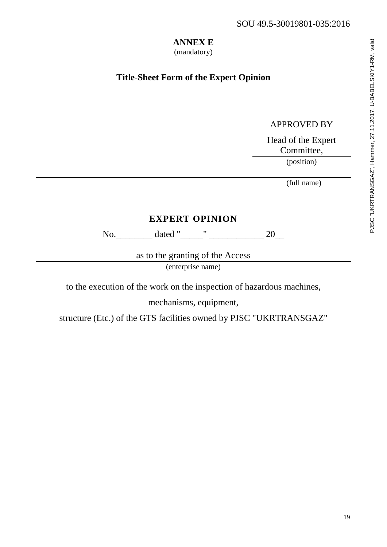### **ANNEX E**

(mandatory)

### **Title-Sheet Form of the Expert Opinion**

### APPROVED BY

Head of the Expert Committee,

(position)

(full name)

### **EXPERT OPINION**

No.\_\_\_\_\_\_\_\_ dated "\_\_\_\_\_" \_\_\_\_\_\_\_\_\_\_\_\_ 20\_\_

as to the granting of the Access (enterprise name)

to the execution of the work on the inspection of hazardous machines,

mechanisms, equipment,

structure (Etc.) of the GTS facilities owned by PJSC "UKRTRANSGAZ"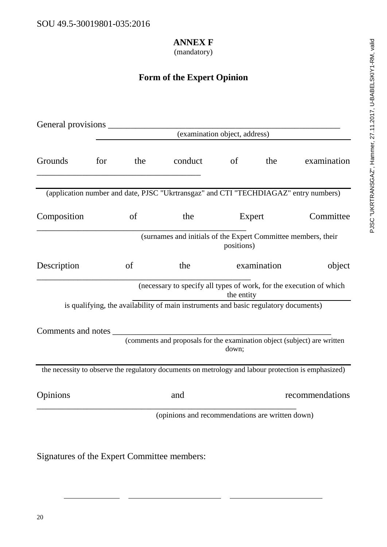### **ANNEX F**

### (mandatory)

### **Form of the Expert Opinion**

| (examination object, address) |     |     |                                                                                                     |             |        |                 |  |  |  |  |  |
|-------------------------------|-----|-----|-----------------------------------------------------------------------------------------------------|-------------|--------|-----------------|--|--|--|--|--|
|                               |     |     |                                                                                                     |             |        |                 |  |  |  |  |  |
| Grounds                       | for | the | conduct                                                                                             | $\circ$ of  | the    | examination     |  |  |  |  |  |
|                               |     |     | (application number and date, PJSC "Ukrtransgaz" and CTI "TECHDIAGAZ" entry numbers)                |             |        |                 |  |  |  |  |  |
| Composition                   |     | of  | the                                                                                                 |             | Expert | Committee       |  |  |  |  |  |
|                               |     |     | (surnames and initials of the Expert Committee members, their                                       | positions)  |        |                 |  |  |  |  |  |
| Description                   |     | of  | the                                                                                                 | examination |        | object          |  |  |  |  |  |
|                               |     |     | (necessary to specify all types of work, for the execution of which                                 | the entity  |        |                 |  |  |  |  |  |
|                               |     |     | is qualifying, the availability of main instruments and basic regulatory documents)                 |             |        |                 |  |  |  |  |  |
|                               |     |     | Comments and notes                                                                                  |             |        |                 |  |  |  |  |  |
|                               |     |     | (comments and proposals for the examination object (subject) are written                            | down;       |        |                 |  |  |  |  |  |
|                               |     |     | the necessity to observe the regulatory documents on metrology and labour protection is emphasized) |             |        |                 |  |  |  |  |  |
| Opinions                      |     |     | and                                                                                                 |             |        | recommendations |  |  |  |  |  |
|                               |     |     | (opinions and recommendations are written down)                                                     |             |        |                 |  |  |  |  |  |

Signatures of the Expert Committee members: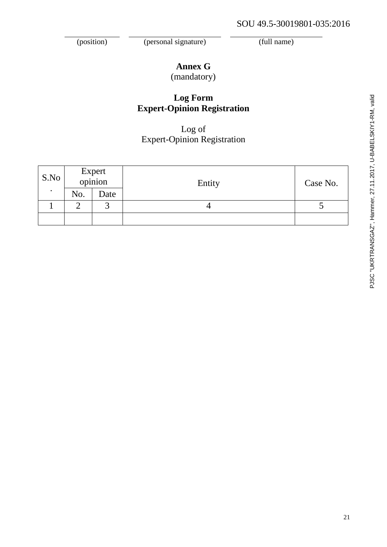(position) (personal signature) (full name)

## **Annex G**

(mandatory)

### **Log Form Expert-Opinion Registration**

### Log of Expert-Opinion Registration

| S.No      |     | Expert<br>opinion | Entity | Case No. |  |
|-----------|-----|-------------------|--------|----------|--|
| $\bullet$ | No. | Date              |        |          |  |
|           |     | $\sqrt{2}$        |        |          |  |
|           |     |                   |        |          |  |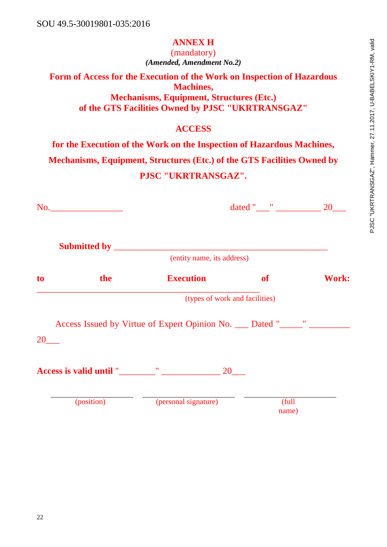### **ANNEX H**

(mandatory) *(Amended, Amendment No.2)*

**Form of Access for the Execution of the Work on Inspection of Hazardous Machines, Mechanisms, Equipment, Structures (Etc.) of the GTS Facilities Owned by PJSC "UKRTRANSGAZ"**

### **ACCESS**

**for the Execution of the Work on the Inspection of Hazardous Machines,** 

**Mechanisms, Equipment, Structures (Etc.) of the GTS Facilities Owned by** 

### **PJSC "UKRTRANSGAZ".**

|    | No.        |                                                                       |                                |       |
|----|------------|-----------------------------------------------------------------------|--------------------------------|-------|
|    |            | (entity name, its address)                                            |                                |       |
| to | the        | <b>Execution</b>                                                      | <b>of</b>                      | Work: |
|    |            |                                                                       | (types of work and facilities) |       |
| 20 |            | Access Issued by Virtue of Expert Opinion No. __ Dated "_____" ______ |                                |       |
|    |            | Access is valid until " The Contract of the 20                        |                                |       |
|    | (position) | (personal signature)                                                  | (full<br>name)                 |       |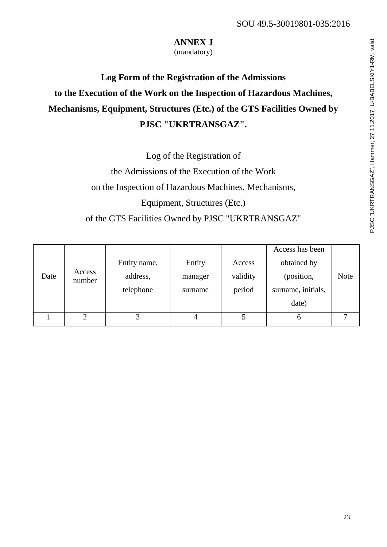### **ANNEX J**

(mandatory)

# **Log Form of the Registration of the Admissions to the Execution of the Work on the Inspection of Hazardous Machines, Mechanisms, Equipment, Structures (Etc.) of the GTS Facilities Owned by PJSC "UKRTRANSGAZ".**

Log of the Registration of

the Admissions of the Execution of the Work on the Inspection of Hazardous Machines, Mechanisms, Equipment, Structures (Etc.) of the GTS Facilities Owned by PJSC "UKRTRANSGAZ"

|      |                  |              |         |          | Access has been    |             |
|------|------------------|--------------|---------|----------|--------------------|-------------|
|      |                  | Entity name, | Entity  | Access   | obtained by        |             |
| Date | Access<br>number | address,     | manager | validity | (position,         | <b>Note</b> |
|      |                  | telephone    | surname | period   | surname, initials, |             |
|      |                  |              |         |          | date)              |             |
|      | ◠                | 3            |         |          | h                  |             |